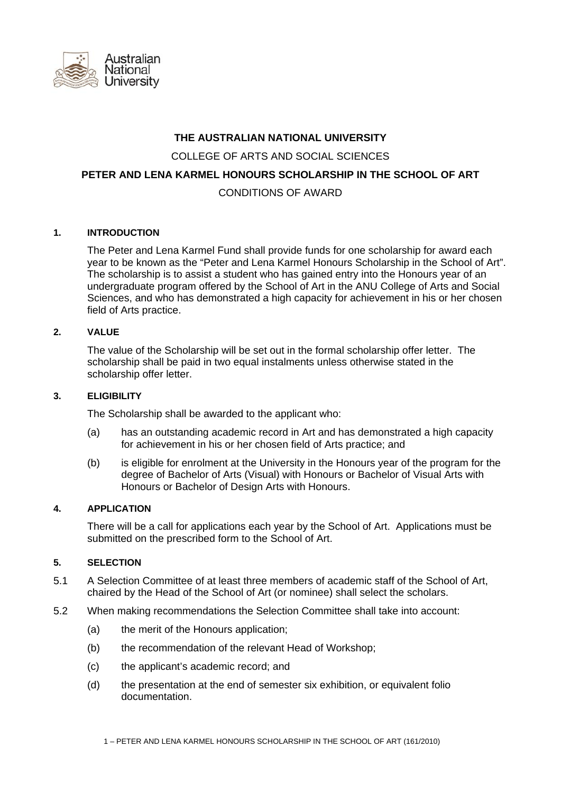

# **THE AUSTRALIAN NATIONAL UNIVERSITY**

COLLEGE OF ARTS AND SOCIAL SCIENCES

# **PETER AND LENA KARMEL HONOURS SCHOLARSHIP IN THE SCHOOL OF ART**

# CONDITIONS OF AWARD

## **1. INTRODUCTION**

 The Peter and Lena Karmel Fund shall provide funds for one scholarship for award each year to be known as the "Peter and Lena Karmel Honours Scholarship in the School of Art". The scholarship is to assist a student who has gained entry into the Honours year of an undergraduate program offered by the School of Art in the ANU College of Arts and Social Sciences, and who has demonstrated a high capacity for achievement in his or her chosen field of Arts practice.

## **2. VALUE**

 The value of the Scholarship will be set out in the formal scholarship offer letter. The scholarship shall be paid in two equal instalments unless otherwise stated in the scholarship offer letter.

## **3. ELIGIBILITY**

The Scholarship shall be awarded to the applicant who:

- (a) has an outstanding academic record in Art and has demonstrated a high capacity for achievement in his or her chosen field of Arts practice; and
- (b) is eligible for enrolment at the University in the Honours year of the program for the degree of Bachelor of Arts (Visual) with Honours or Bachelor of Visual Arts with Honours or Bachelor of Design Arts with Honours.

### **4. APPLICATION**

 There will be a call for applications each year by the School of Art. Applications must be submitted on the prescribed form to the School of Art.

### **5. SELECTION**

- 5.1 A Selection Committee of at least three members of academic staff of the School of Art, chaired by the Head of the School of Art (or nominee) shall select the scholars.
- 5.2 When making recommendations the Selection Committee shall take into account:
	- (a) the merit of the Honours application;
	- (b) the recommendation of the relevant Head of Workshop;
	- (c) the applicant's academic record; and
	- (d) the presentation at the end of semester six exhibition, or equivalent folio documentation.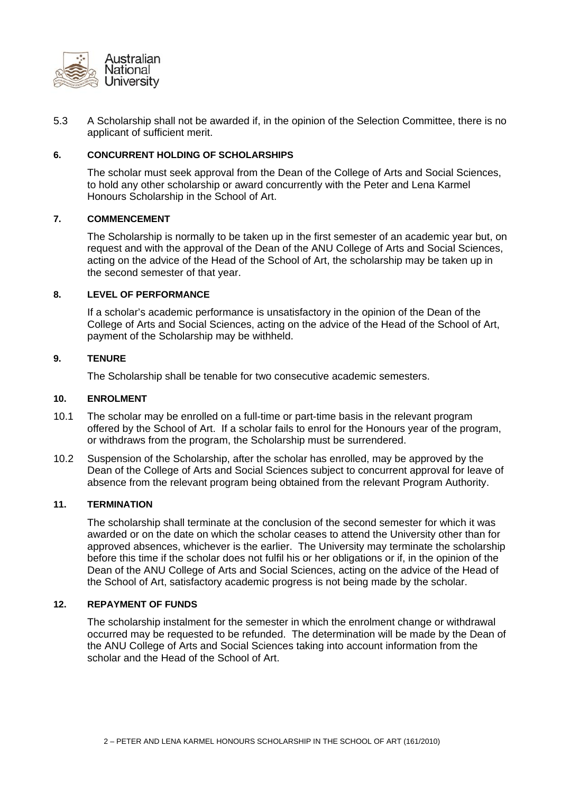

5.3 A Scholarship shall not be awarded if, in the opinion of the Selection Committee, there is no applicant of sufficient merit.

## **6. CONCURRENT HOLDING OF SCHOLARSHIPS**

 The scholar must seek approval from the Dean of the College of Arts and Social Sciences, to hold any other scholarship or award concurrently with the Peter and Lena Karmel Honours Scholarship in the School of Art.

## **7. COMMENCEMENT**

 The Scholarship is normally to be taken up in the first semester of an academic year but, on request and with the approval of the Dean of the ANU College of Arts and Social Sciences, acting on the advice of the Head of the School of Art, the scholarship may be taken up in the second semester of that year.

# **8. LEVEL OF PERFORMANCE**

 If a scholar's academic performance is unsatisfactory in the opinion of the Dean of the College of Arts and Social Sciences, acting on the advice of the Head of the School of Art, payment of the Scholarship may be withheld.

## **9. TENURE**

The Scholarship shall be tenable for two consecutive academic semesters.

### **10. ENROLMENT**

- 10.1 The scholar may be enrolled on a full-time or part-time basis in the relevant program offered by the School of Art. If a scholar fails to enrol for the Honours year of the program, or withdraws from the program, the Scholarship must be surrendered.
- 10.2 Suspension of the Scholarship, after the scholar has enrolled, may be approved by the Dean of the College of Arts and Social Sciences subject to concurrent approval for leave of absence from the relevant program being obtained from the relevant Program Authority.

## **11. TERMINATION**

 The scholarship shall terminate at the conclusion of the second semester for which it was awarded or on the date on which the scholar ceases to attend the University other than for approved absences, whichever is the earlier. The University may terminate the scholarship before this time if the scholar does not fulfil his or her obligations or if, in the opinion of the Dean of the ANU College of Arts and Social Sciences, acting on the advice of the Head of the School of Art, satisfactory academic progress is not being made by the scholar.

### **12. REPAYMENT OF FUNDS**

 The scholarship instalment for the semester in which the enrolment change or withdrawal occurred may be requested to be refunded. The determination will be made by the Dean of the ANU College of Arts and Social Sciences taking into account information from the scholar and the Head of the School of Art.